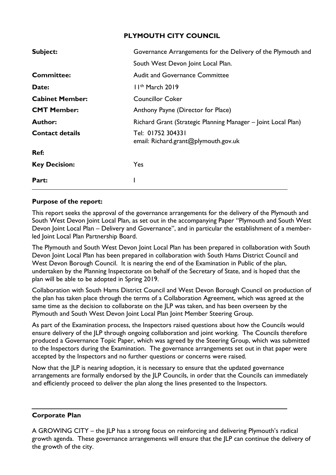# **PLYMOUTH CITY COUNCIL**

| Governance Arrangements for the Delivery of the Plymouth and  |  |  |  |  |  |  |
|---------------------------------------------------------------|--|--|--|--|--|--|
| South West Devon Joint Local Plan.                            |  |  |  |  |  |  |
| <b>Audit and Governance Committee</b>                         |  |  |  |  |  |  |
| II <sup>th</sup> March 2019                                   |  |  |  |  |  |  |
| <b>Councillor Coker</b>                                       |  |  |  |  |  |  |
| Anthony Payne (Director for Place)                            |  |  |  |  |  |  |
| Richard Grant (Strategic Planning Manager – Joint Local Plan) |  |  |  |  |  |  |
| Tel: 01752 304331<br>email: Richard.grant@plymouth.gov.uk     |  |  |  |  |  |  |
|                                                               |  |  |  |  |  |  |
| Yes                                                           |  |  |  |  |  |  |
|                                                               |  |  |  |  |  |  |
|                                                               |  |  |  |  |  |  |

## **Purpose of the report:**

This report seeks the approval of the governance arrangements for the delivery of the Plymouth and South West Devon Joint Local Plan, as set out in the accompanying Paper "Plymouth and South West Devon Joint Local Plan – Delivery and Governance", and in particular the establishment of a memberled Joint Local Plan Partnership Board.

The Plymouth and South West Devon Joint Local Plan has been prepared in collaboration with South Devon Joint Local Plan has been prepared in collaboration with South Hams District Council and West Devon Borough Council. It is nearing the end of the Examination in Public of the plan, undertaken by the Planning Inspectorate on behalf of the Secretary of State, and is hoped that the plan will be able to be adopted in Spring 2019.

Collaboration with South Hams District Council and West Devon Borough Council on production of the plan has taken place through the terms of a Collaboration Agreement, which was agreed at the same time as the decision to collaborate on the JLP was taken, and has been overseen by the Plymouth and South West Devon Joint Local Plan Joint Member Steering Group.

As part of the Examination process, the Inspectors raised questions about how the Councils would ensure delivery of the JLP through ongoing collaboration and joint working. The Councils therefore produced a Governance Topic Paper, which was agreed by the Steering Group, which was submitted to the Inspectors during the Examination. The governance arrangements set out in that paper were accepted by the Inspectors and no further questions or concerns were raised.

Now that the JLP is nearing adoption, it is necessary to ensure that the updated governance arrangements are formally endorsed by the JLP Councils, in order that the Councils can immediately and efficiently proceed to deliver the plan along the lines presented to the Inspectors.

# **Corporate Plan**

A GROWING CITY – the JLP has a strong focus on reinforcing and delivering Plymouth's radical growth agenda. These governance arrangements will ensure that the JLP can continue the delivery of the growth of the city.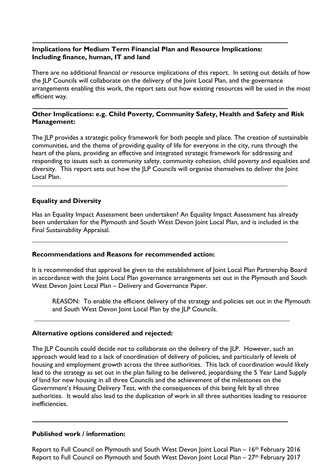## **Implications for Medium Term Financial Plan and Resource Implications: Including finance, human, IT and land**

There are no additional financial or resource implications of this report. In setting out details of how the JLP Councils will collaborate on the delivery of the Joint Local Plan, and the governance arrangements enabling this work, the report sets out how existing resources will be used in the most efficient way.

### **Other Implications: e.g. Child Poverty, Community Safety, Health and Safety and Risk Management:**

The JLP provides a strategic policy framework for both people and place. The creation of sustainable communities, and the theme of providing quality of life for everyone in the city, runs through the heart of the plans, providing an effective and integrated strategic framework for addressing and responding to issues such as community safety, community cohesion, child poverty and equalities and diversity. This report sets out how the JLP Councils will organise themselves to deliver the Joint Local Plan.

### **Equality and Diversity**

Has an Equality Impact Assessment been undertaken? An Equality Impact Assessment has already been undertaken for the Plymouth and South West Devon Joint Local Plan, and is included in the Final Sustainability Appraisal.

#### **Recommendations and Reasons for recommended action:**

It is recommended that approval be given to the establishment of Joint Local Plan Partnership Board in accordance with the Joint Local Plan governance arrangements set out in the Plymouth and South West Devon Joint Local Plan – Delivery and Governance Paper.

REASON: To enable the efficient delivery of the strategy and policies set out in the Plymouth and South West Devon Joint Local Plan by the JLP Councils.

#### **Alternative options considered and rejected:**

The JLP Councils could decide not to collaborate on the delivery of the JLP. However, such an approach would lead to a lack of coordination of delivery of policies, and particularly of levels of housing and employment growth across the three authorities. This lack of coordination would likely lead to the strategy as set out in the plan failing to be delivered, jeopardising the 5 Year Land Supply of land for new housing in all three Councils and the achievement of the milestones on the Government's Housing Delivery Test, with the consequences of this being felt by all three authorities. It would also lead to the duplication of work in all three authorities leading to resource inefficiencies.

#### **Published work / information:**

Report to Full Council on Plymouth and South West Devon Joint Local Plan – 16<sup>th</sup> February 2016 Report to Full Council on Plymouth and South West Devon Joint Local Plan – 27<sup>th</sup> February 2017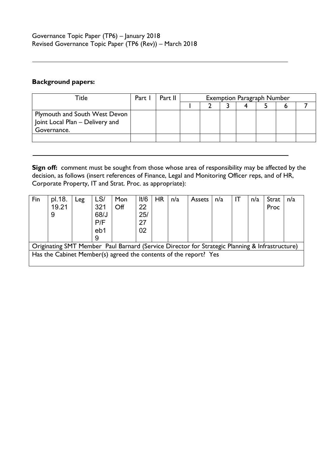# **Background papers:**

| Title                                | Part 1 | Part II | <b>Exemption Paragraph Number</b> |  |  |  |  |  |  |
|--------------------------------------|--------|---------|-----------------------------------|--|--|--|--|--|--|
|                                      |        |         |                                   |  |  |  |  |  |  |
| <b>Plymouth and South West Devon</b> |        |         |                                   |  |  |  |  |  |  |
| Joint Local Plan - Delivery and      |        |         |                                   |  |  |  |  |  |  |
| Governance.                          |        |         |                                   |  |  |  |  |  |  |
|                                      |        |         |                                   |  |  |  |  |  |  |

**Sign off:** comment must be sought from those whose area of responsibility may be affected by the decision, as follows (insert references of Finance, Legal and Monitoring Officer reps, and of HR, Corporate Property, IT and Strat. Proc. as appropriate):

| Fin                                                                                            | pl.18.<br>19.21<br>9 | $_{\text{Leg}}$ | LS/<br>321<br>68/J<br>P/F<br>eb1 | Mon<br>Off | It/6<br>22<br>25/<br>27<br>02 | <b>HR</b> | n/a | Assets | n/a | IT | n/a | Strat<br>Proc | n/a |
|------------------------------------------------------------------------------------------------|----------------------|-----------------|----------------------------------|------------|-------------------------------|-----------|-----|--------|-----|----|-----|---------------|-----|
| Originating SMT Member Paul Barnard (Service Director for Strategic Planning & Infrastructure) |                      |                 |                                  |            |                               |           |     |        |     |    |     |               |     |
| Has the Cabinet Member(s) agreed the contents of the report? Yes                               |                      |                 |                                  |            |                               |           |     |        |     |    |     |               |     |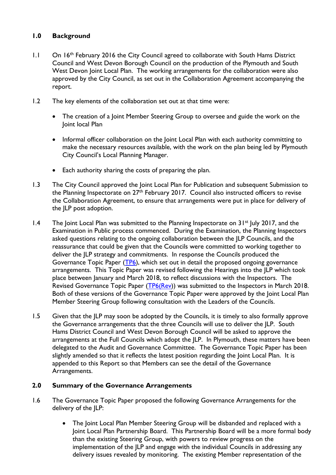## **1.0 Background**

- 1.1 On 16<sup>th</sup> February 2016 the City Council agreed to collaborate with South Hams District Council and West Devon Borough Council on the production of the Plymouth and South West Devon Joint Local Plan. The working arrangements for the collaboration were also approved by the City Council, as set out in the Collaboration Agreement accompanying the report.
- 1.2 The key elements of the collaboration set out at that time were:
	- The creation of a Joint Member Steering Group to oversee and guide the work on the Joint local Plan
	- Informal officer collaboration on the Joint Local Plan with each authority committing to make the necessary resources available, with the work on the plan being led by Plymouth City Council's Local Planning Manager.
	- Each authority sharing the costs of preparing the plan.
- 1.3 The City Council approved the Joint Local Plan for Publication and subsequent Submission to the Planning Inspectorate on 27<sup>th</sup> February 2017. Council also instructed officers to revise the Collaboration Agreement, to ensure that arrangements were put in place for delivery of the JLP post adoption.
- 1.4 The Joint Local Plan was submitted to the Planning Inspectorate on 31<sup>st</sup> July 2017, and the Examination in Public process commenced. During the Examination, the Planning Inspectors asked questions relating to the ongoing collaboration between the JLP Councils, and the reassurance that could be given that the Councils were committed to working together to deliver the JLP strategy and commitments. In response the Councils produced the Governance Topic Paper [\(TP6\)](https://www.plymouth.gov.uk/sites/default/files/GovernanceTopicPaper.pdf), which set out in detail the proposed ongoing governance arrangements. This Topic Paper was revised following the Hearings into the JLP which took place between January and March 2018, to reflect discussions with the Inspectors. The Revised Governance Topic Paper [\(TP6\(Rev\)](https://www.plymouth.gov.uk/sites/default/files/RevisedGovernanceTopicPaper.pdf)) was submitted to the Inspectors in March 2018. Both of these versions of the Governance Topic Paper were approved by the Joint Local Plan Member Steering Group following consultation with the Leaders of the Councils.
- 1.5 Given that the JLP may soon be adopted by the Councils, it is timely to also formally approve the Governance arrangements that the three Councils will use to deliver the JLP. South Hams District Council and West Devon Borough Council will be asked to approve the arrangements at the Full Councils which adopt the JLP. In Plymouth, these matters have been delegated to the Audit and Governance Committee. The Governance Topic Paper has been slightly amended so that it reflects the latest position regarding the Joint Local Plan. It is appended to this Report so that Members can see the detail of the Governance Arrangements.

## **2.0 Summary of the Governance Arrangements**

- 1.6 The Governance Topic Paper proposed the following Governance Arrangements for the delivery of the JLP:
	- The Joint Local Plan Member Steering Group will be disbanded and replaced with a Joint Local Plan Partnership Board. This Partnership Board will be a more formal body than the existing Steering Group, with powers to review progress on the implementation of the JLP and engage with the individual Councils in addressing any delivery issues revealed by monitoring. The existing Member representation of the